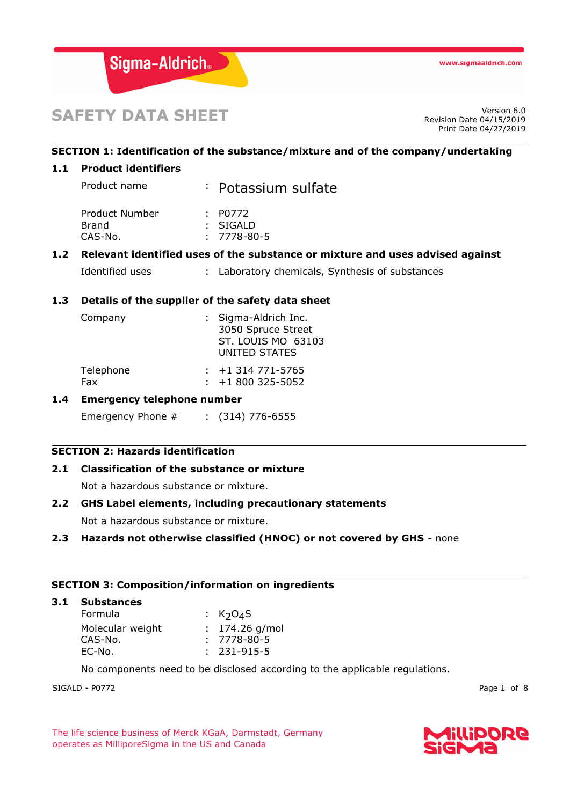

# **SAFETY DATA SHEET**

Revision Date 04/15/2019 Print Date 04/27/2019

# **SECTION 1: Identification of the substance/mixture and of the company/undertaking**

## **1.1 Product identifiers**

| Product name   | : Potassium sulfate |
|----------------|---------------------|
| Product Number | : $P0772$           |
| Brand          | : SIGALD            |
| CAS-No.        | $: 7778 - 80 - 5$   |

# **1.2 Relevant identified uses of the substance or mixture and uses advised against**

Identified uses : Laboratory chemicals, Synthesis of substances

# **1.3 Details of the supplier of the safety data sheet**

| Company   | : Sigma-Aldrich Inc.<br>3050 Spruce Street<br><b>ST. LOUIS MO 63103</b><br>UNITED STATES |
|-----------|------------------------------------------------------------------------------------------|
| Telephone | $: +1314771 - 5765$                                                                      |
| Fax       | $\div$ +1 800 325-5052                                                                   |

# **1.4 Emergency telephone number**

Emergency Phone # : (314) 776-6555

# **SECTION 2: Hazards identification**

# **2.1 Classification of the substance or mixture**

Not a hazardous substance or mixture.

#### **2.2 GHS Label elements, including precautionary statements**

Not a hazardous substance or mixture.

# **2.3 Hazards not otherwise classified (HNOC) or not covered by GHS** - none

## **SECTION 3: Composition/information on ingredients**

**3.1 Substances**

| Formula          | : $K2O4S$         |
|------------------|-------------------|
| Molecular weight | $: 174.26$ g/mol  |
| CAS-No.          | $: 7778 - 80 - 5$ |
| EC-No.           | $: 231 - 915 - 5$ |

No components need to be disclosed according to the applicable regulations.

SIGALD - P0772 Page 1 of 8

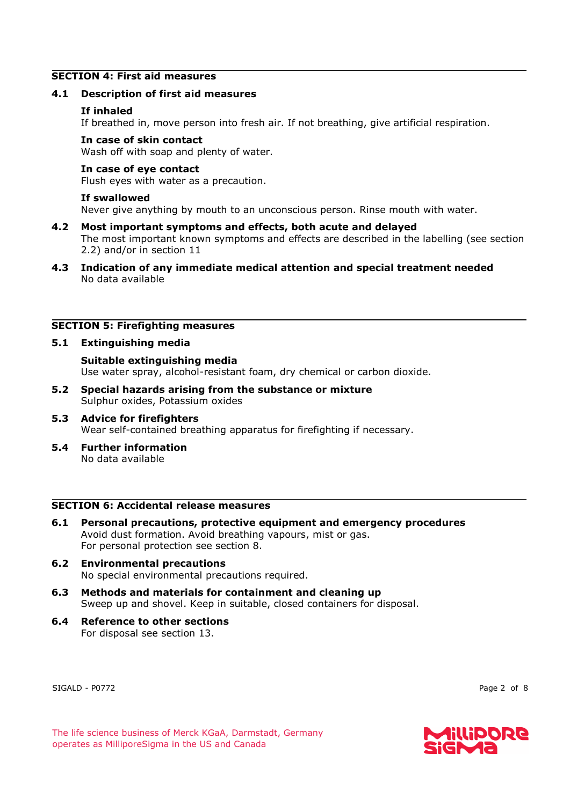# **SECTION 4: First aid measures**

## **4.1 Description of first aid measures**

## **If inhaled**

If breathed in, move person into fresh air. If not breathing, give artificial respiration.

## **In case of skin contact**

Wash off with soap and plenty of water.

#### **In case of eye contact**

Flush eyes with water as a precaution.

#### **If swallowed**

Never give anything by mouth to an unconscious person. Rinse mouth with water.

#### **4.2 Most important symptoms and effects, both acute and delayed**

The most important known symptoms and effects are described in the labelling (see section 2.2) and/or in section 11

**4.3 Indication of any immediate medical attention and special treatment needed** No data available

## **SECTION 5: Firefighting measures**

## **5.1 Extinguishing media**

**Suitable extinguishing media** Use water spray, alcohol-resistant foam, dry chemical or carbon dioxide.

- **5.2 Special hazards arising from the substance or mixture** Sulphur oxides, Potassium oxides
- **5.3 Advice for firefighters** Wear self-contained breathing apparatus for firefighting if necessary.
- **5.4 Further information** No data available

# **SECTION 6: Accidental release measures**

- **6.1 Personal precautions, protective equipment and emergency procedures** Avoid dust formation. Avoid breathing vapours, mist or gas. For personal protection see section 8.
- **6.2 Environmental precautions** No special environmental precautions required.
- **6.3 Methods and materials for containment and cleaning up** Sweep up and shovel. Keep in suitable, closed containers for disposal.
- **6.4 Reference to other sections** For disposal see section 13.

SIGALD - P0772 Page 2 of 8

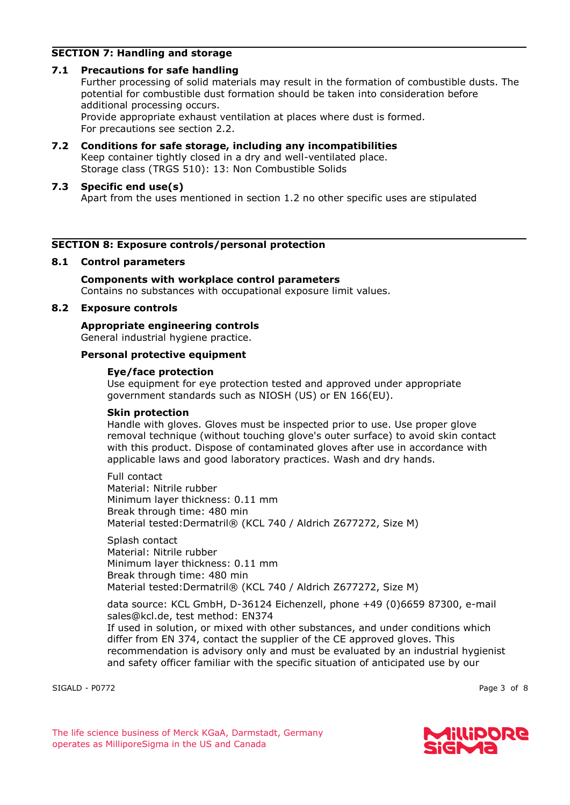# **SECTION 7: Handling and storage**

# **7.1 Precautions for safe handling**

Further processing of solid materials may result in the formation of combustible dusts. The potential for combustible dust formation should be taken into consideration before additional processing occurs. Provide appropriate exhaust ventilation at places where dust is formed.

For precautions see section 2.2.

**7.2 Conditions for safe storage, including any incompatibilities** Keep container tightly closed in a dry and well-ventilated place. Storage class (TRGS 510): 13: Non Combustible Solids

# **7.3 Specific end use(s)**

Apart from the uses mentioned in section 1.2 no other specific uses are stipulated

# **SECTION 8: Exposure controls/personal protection**

# **8.1 Control parameters**

**Components with workplace control parameters** Contains no substances with occupational exposure limit values.

# **8.2 Exposure controls**

**Appropriate engineering controls** General industrial hygiene practice.

# **Personal protective equipment**

# **Eye/face protection**

Use equipment for eye protection tested and approved under appropriate government standards such as NIOSH (US) or EN 166(EU).

# **Skin protection**

Handle with gloves. Gloves must be inspected prior to use. Use proper glove removal technique (without touching glove's outer surface) to avoid skin contact with this product. Dispose of contaminated gloves after use in accordance with applicable laws and good laboratory practices. Wash and dry hands.

Full contact Material: Nitrile rubber Minimum layer thickness: 0.11 mm Break through time: 480 min Material tested:Dermatril® (KCL 740 / Aldrich Z677272, Size M)

Splash contact Material: Nitrile rubber Minimum layer thickness: 0.11 mm Break through time: 480 min Material tested:Dermatril® (KCL 740 / Aldrich Z677272, Size M)

data source: KCL GmbH, D-36124 Eichenzell, phone +49 (0)6659 87300, e-mail sales@kcl.de, test method: EN374

If used in solution, or mixed with other substances, and under conditions which differ from EN 374, contact the supplier of the CE approved gloves. This recommendation is advisory only and must be evaluated by an industrial hygienist and safety officer familiar with the specific situation of anticipated use by our

SIGALD - P0772 Page 3 of 8

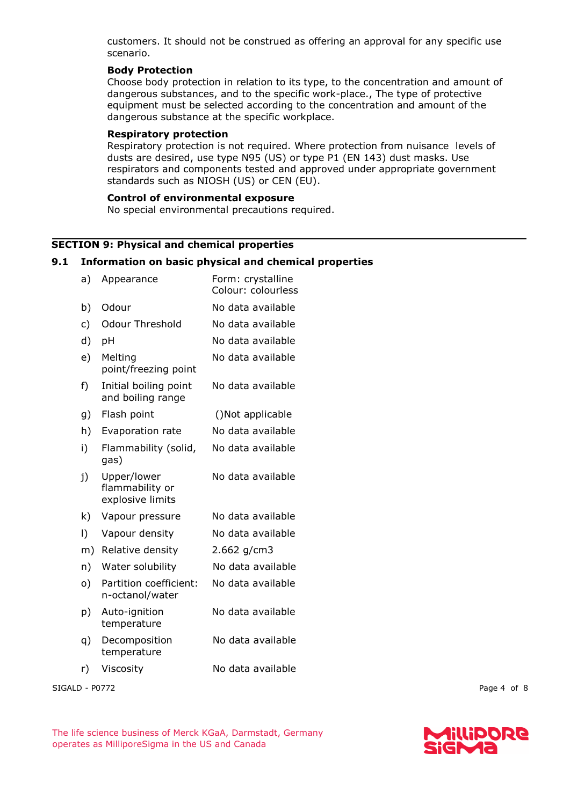customers. It should not be construed as offering an approval for any specific use scenario.

# **Body Protection**

Choose body protection in relation to its type, to the concentration and amount of dangerous substances, and to the specific work-place., The type of protective equipment must be selected according to the concentration and amount of the dangerous substance at the specific workplace.

# **Respiratory protection**

Respiratory protection is not required. Where protection from nuisance levels of dusts are desired, use type N95 (US) or type P1 (EN 143) dust masks. Use respirators and components tested and approved under appropriate government standards such as NIOSH (US) or CEN (EU).

# **Control of environmental exposure**

No special environmental precautions required.

# **SECTION 9: Physical and chemical properties**

# **9.1 Information on basic physical and chemical properties**

| a)        | Appearance                                         | Form: crystalline<br>Colour: colourless |  |
|-----------|----------------------------------------------------|-----------------------------------------|--|
| b)        | Odour                                              | No data available                       |  |
| c)        | <b>Odour Threshold</b>                             | No data available                       |  |
| d)        | pH                                                 | No data available                       |  |
| e)        | Melting<br>point/freezing point                    | No data available                       |  |
| f)        | Initial boiling point<br>and boiling range         | No data available                       |  |
| g)        | Flash point                                        | ()Not applicable                        |  |
| h)        | Evaporation rate                                   | No data available                       |  |
| i)        | Flammability (solid,<br>gas)                       | No data available                       |  |
| j)        | Upper/lower<br>flammability or<br>explosive limits | No data available                       |  |
| k)        | Vapour pressure                                    | No data available                       |  |
| $\vert$ ) | Vapour density                                     | No data available                       |  |
| m)        | Relative density                                   | $2.662$ g/cm3                           |  |
| n)        | Water solubility                                   | No data available                       |  |
| o)        | Partition coefficient:<br>n-octanol/water          | No data available                       |  |
| p)        | Auto-ignition<br>temperature                       | No data available                       |  |
| q)        | Decomposition<br>temperature                       | No data available                       |  |
| r)        | Viscosity                                          | No data available                       |  |

SIGALD - P0772 Page 4 of 8

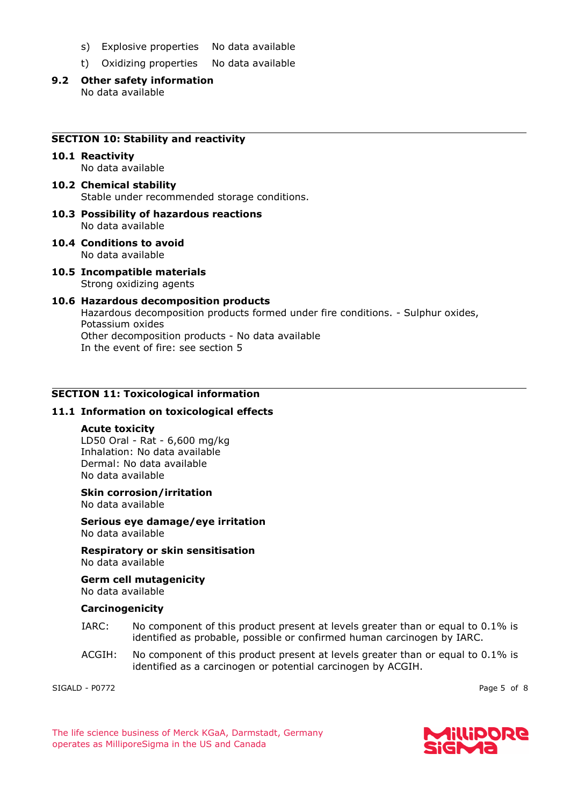- s) Explosive properties No data available
- t) Oxidizing properties No data available
- **9.2 Other safety information** No data available

#### **SECTION 10: Stability and reactivity**

# **10.1 Reactivity**

No data available

- **10.2 Chemical stability** Stable under recommended storage conditions.
- **10.3 Possibility of hazardous reactions** No data available
- **10.4 Conditions to avoid** No data available
- **10.5 Incompatible materials** Strong oxidizing agents

#### **10.6 Hazardous decomposition products** Hazardous decomposition products formed under fire conditions. - Sulphur oxides, Potassium oxides Other decomposition products - No data available In the event of fire: see section 5

## **SECTION 11: Toxicological information**

# **11.1 Information on toxicological effects**

#### **Acute toxicity**

LD50 Oral - Rat - 6,600 mg/kg Inhalation: No data available Dermal: No data available No data available

# **Skin corrosion/irritation**

No data available

**Serious eye damage/eye irritation** No data available

**Respiratory or skin sensitisation** No data available

**Germ cell mutagenicity** No data available

#### **Carcinogenicity**

- IARC: No component of this product present at levels greater than or equal to 0.1% is identified as probable, possible or confirmed human carcinogen by IARC.
- ACGIH: No component of this product present at levels greater than or equal to 0.1% is identified as a carcinogen or potential carcinogen by ACGIH.

SIGALD - P0772 Page 5 of 8

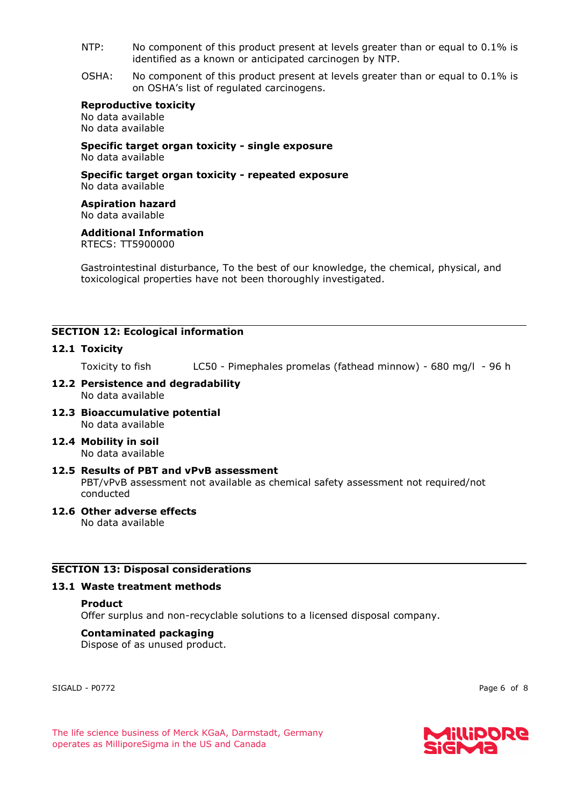- NTP: No component of this product present at levels greater than or equal to 0.1% is identified as a known or anticipated carcinogen by NTP.
- OSHA: No component of this product present at levels greater than or equal to 0.1% is on OSHA's list of regulated carcinogens.

#### **Reproductive toxicity**

No data available No data available

**Specific target organ toxicity - single exposure** No data available

**Specific target organ toxicity - repeated exposure** No data available

**Aspiration hazard** No data available

**Additional Information** RTECS: TT5900000

Gastrointestinal disturbance, To the best of our knowledge, the chemical, physical, and toxicological properties have not been thoroughly investigated.

# **SECTION 12: Ecological information**

## **12.1 Toxicity**

Toxicity to fish LC50 - Pimephales promelas (fathead minnow) - 680 mg/l - 96 h

- **12.2 Persistence and degradability** No data available
- **12.3 Bioaccumulative potential** No data available
- **12.4 Mobility in soil** No data available
- **12.5 Results of PBT and vPvB assessment** PBT/vPvB assessment not available as chemical safety assessment not required/not conducted
- **12.6 Other adverse effects** No data available

# **SECTION 13: Disposal considerations**

#### **13.1 Waste treatment methods**

#### **Product**

Offer surplus and non-recyclable solutions to a licensed disposal company.

#### **Contaminated packaging**

Dispose of as unused product.

SIGALD - P0772 Page 6 of 8

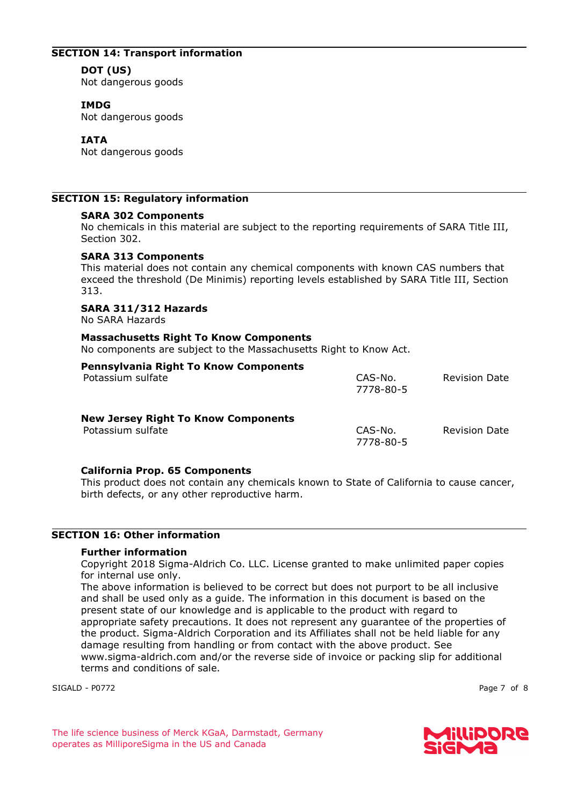## **SECTION 14: Transport information**

# **DOT (US)**

Not dangerous goods

## **IMDG**

Not dangerous goods

# **IATA**

Not dangerous goods

# **SECTION 15: Regulatory information**

## **SARA 302 Components**

No chemicals in this material are subject to the reporting requirements of SARA Title III, Section 302.

# **SARA 313 Components**

This material does not contain any chemical components with known CAS numbers that exceed the threshold (De Minimis) reporting levels established by SARA Title III, Section 313.

# **SARA 311/312 Hazards**

No SARA Hazards

## **Massachusetts Right To Know Components**

No components are subject to the Massachusetts Right to Know Act.

| <b>Pennsylvania Right To Know Components</b><br>Potassium sulfate | CAS-No.<br>7778-80-5 | <b>Revision Date</b> |
|-------------------------------------------------------------------|----------------------|----------------------|
| <b>New Jersey Right To Know Components</b><br>Potassium sulfate   | CAS-No.<br>7778-80-5 | <b>Revision Date</b> |

#### **California Prop. 65 Components**

This product does not contain any chemicals known to State of California to cause cancer, birth defects, or any other reproductive harm.

## **SECTION 16: Other information**

#### **Further information**

Copyright 2018 Sigma-Aldrich Co. LLC. License granted to make unlimited paper copies for internal use only.

The above information is believed to be correct but does not purport to be all inclusive and shall be used only as a guide. The information in this document is based on the present state of our knowledge and is applicable to the product with regard to appropriate safety precautions. It does not represent any guarantee of the properties of the product. Sigma-Aldrich Corporation and its Affiliates shall not be held liable for any damage resulting from handling or from contact with the above product. See www.sigma-aldrich.com and/or the reverse side of invoice or packing slip for additional terms and conditions of sale.

SIGALD - P0772 Page 7 of 8